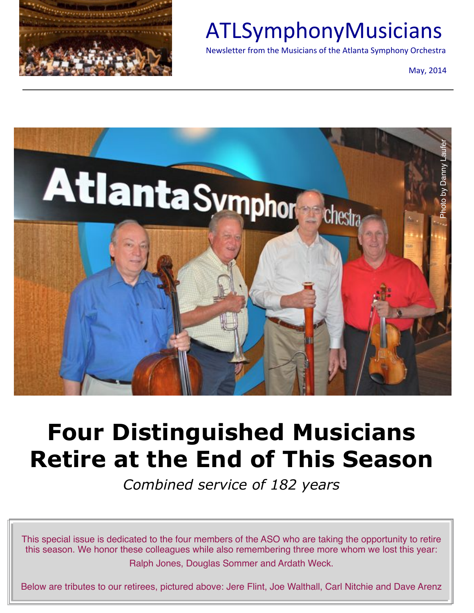

## ATLSymphonyMusicians

Newsletter from the Musicians of the Atlanta Symphony Orchestra

May, 2014



# **Four Distinguished Musicians Retire at the End of This Season**

*Combined service of 182 years*

This special issue is dedicated to the four members of the ASO who are taking the opportunity to retire this season. We honor these colleagues while also remembering three more whom we lost this year: Ralph Jones, Douglas Sommer and Ardath Weck.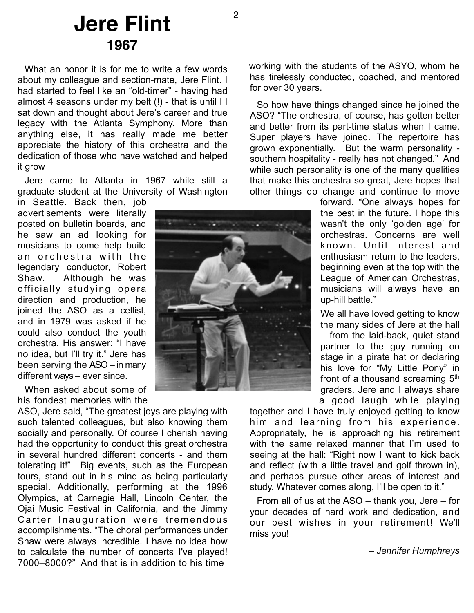#### **Jere Flint 1967**

What an honor it is for me to write a few words about my colleague and section-mate, Jere Flint. I had started to feel like an "old-timer" - having had almost 4 seasons under my belt (!) - that is until l I sat down and thought about Jere's career and true legacy with the Atlanta Symphony. More than anything else, it has really made me better appreciate the history of this orchestra and the dedication of those who have watched and helped it grow

Jere came to Atlanta in 1967 while still a graduate student at the University of Washington

in Seattle. Back then, job advertisements were literally posted on bulletin boards, and he saw an ad looking for musicians to come help build an orchestra with the legendary conductor, Robert Shaw. Although he was officially studying opera direction and production, he joined the ASO as a cellist, and in 1979 was asked if he could also conduct the youth orchestra. His answer: "I have no idea, but I'll try it." Jere has been serving the ASO – in many different ways – ever since.

When asked about some of his fondest memories with the

ASO, Jere said, "The greatest joys are playing with such talented colleagues, but also knowing them socially and personally. Of course I cherish having had the opportunity to conduct this great orchestra in several hundred different concerts - and them tolerating it!" Big events, such as the European tours, stand out in his mind as being particularly special. Additionally, performing at the 1996 Olympics, at Carnegie Hall, Lincoln Center, the Ojai Music Festival in California, and the Jimmy Carter Inauguration were tremendous accomplishments. "The choral performances under Shaw were always incredible. I have no idea how to calculate the number of concerts I've played! 7000–8000?" And that is in addition to his time

working with the students of the ASYO, whom he has tirelessly conducted, coached, and mentored for over 30 years.

So how have things changed since he joined the ASO? "The orchestra, of course, has gotten better and better from its part-time status when I came. Super players have joined. The repertoire has grown exponentially. But the warm personality southern hospitality - really has not changed." And while such personality is one of the many qualities that make this orchestra so great, Jere hopes that other things do change and continue to move

> forward. "One always hopes for the best in the future. I hope this wasn't the only 'golden age' for orchestras. Concerns are well known. Until interest and enthusiasm return to the leaders, beginning even at the top with the League of American Orchestras, musicians will always have an up-hill battle."

> We all have loved getting to know the many sides of Jere at the hall – from the laid-back, quiet stand partner to the guy running on stage in a pirate hat or declaring his love for "My Little Pony" in front of a thousand screaming 5<sup>th</sup> graders. Jere and I always share a good laugh while playing

together and I have truly enjoyed getting to know him and learning from his experience. Appropriately, he is approaching his retirement with the same relaxed manner that I'm used to seeing at the hall: "Right now I want to kick back and reflect (with a little travel and golf thrown in), and perhaps pursue other areas of interest and study. Whatever comes along, I'll be open to it."

From all of us at the ASO – thank you, Jere – for your decades of hard work and dedication, and our best wishes in your retirement! We'll miss you!

*– Jennifer Humphreys* 

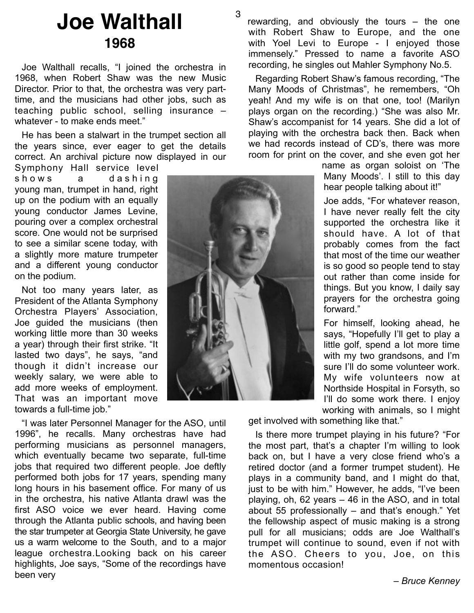### **Joe Walthall 1968**

Joe Walthall recalls, "I joined the orchestra in 1968, when Robert Shaw was the new Music Director. Prior to that, the orchestra was very parttime, and the musicians had other jobs, such as teaching public school, selling insurance – whatever - to make ends meet."

He has been a stalwart in the trumpet section all the years since, ever eager to get the details correct. An archival picture now displayed in our Symphony Hall service level

shows a dashing young man, trumpet in hand, right up on the podium with an equally young conductor James Levine, pouring over a complex orchestral score. One would not be surprised to see a similar scene today, with a slightly more mature trumpeter and a different young conductor on the podium.

Not too many years later, as President of the Atlanta Symphony Orchestra Players' Association, Joe guided the musicians (then working little more than 30 weeks a year) through their first strike. "It lasted two days", he says, "and though it didn't increase our weekly salary, we were able to add more weeks of employment. That was an important move towards a full-time job."

"I was later Personnel Manager for the ASO, until 1996", he recalls. Many orchestras have had performing musicians as personnel managers, which eventually became two separate, full-time jobs that required two different people. Joe deftly performed both jobs for 17 years, spending many long hours in his basement office. For many of us in the orchestra, his native Atlanta drawl was the first ASO voice we ever heard. Having come through the Atlanta public schools, and having been the star trumpeter at Georgia State University, he gave us a warm welcome to the South, and to a major league orchestra.Looking back on his career highlights, Joe says, "Some of the recordings have been very



3

rewarding, and obviously the tours – the one with Robert Shaw to Europe, and the one with Yoel Levi to Europe - I enjoyed those immensely." Pressed to name a favorite ASO recording, he singles out Mahler Symphony No.5.

Regarding Robert Shaw's famous recording, "The Many Moods of Christmas", he remembers, "Oh yeah! And my wife is on that one, too! (Marilyn plays organ on the recording.) "She was also Mr. Shaw's accompanist for 14 years. She did a lot of playing with the orchestra back then. Back when we had records instead of CD's, there was more room for print on the cover, and she even got her

> name as organ soloist on 'The Many Moods'. I still to this day hear people talking about it!"

Joe adds, "For whatever reason, I have never really felt the city supported the orchestra like it should have. A lot of that probably comes from the fact that most of the time our weather is so good so people tend to stay out rather than come inside for things. But you know, I daily say prayers for the orchestra going forward."

For himself, looking ahead, he says, "Hopefully I'll get to play a little golf, spend a lot more time with my two grandsons, and I'm sure I'll do some volunteer work. My wife volunteers now at Northside Hospital in Forsyth, so I'll do some work there. I enjoy working with animals, so I might

get involved with something like that."

Is there more trumpet playing in his future? "For the most part, that's a chapter I'm willing to look back on, but I have a very close friend who's a retired doctor (and a former trumpet student). He plays in a community band, and I might do that, just to be with him." However, he adds, "I've been playing, oh, 62 years – 46 in the ASO, and in total about 55 professionally – and that's enough." Yet the fellowship aspect of music making is a strong pull for all musicians; odds are Joe Walthall's trumpet will continue to sound, even if not with the ASO. Cheers to you, Joe, on this momentous occasion!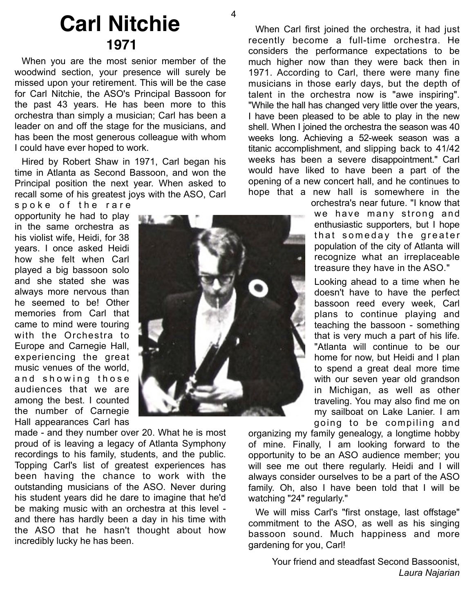#### **Carl Nitchie 1971**

When you are the most senior member of the woodwind section, your presence will surely be missed upon your retirement. This will be the case for Carl Nitchie, the ASO's Principal Bassoon for the past 43 years. He has been more to this orchestra than simply a musician; Carl has been a leader on and off the stage for the musicians, and has been the most generous colleague with whom I could have ever hoped to work.

Hired by Robert Shaw in 1971, Carl began his time in Atlanta as Second Bassoon, and won the Principal position the next year. When asked to recall some of his greatest joys with the ASO, Carl

spoke of the rare opportunity he had to play in the same orchestra as his violist wife, Heidi, for 38 years. I once asked Heidi how she felt when Carl played a big bassoon solo and she stated she was always more nervous than he seemed to be! Other memories from Carl that came to mind were touring with the Orchestra to Europe and Carnegie Hall, experiencing the great music venues of the world, and showing those audiences that we are among the best. I counted

the number of Carnegie Hall appearances Carl has made - and they number over 20. What he is most proud of is leaving a legacy of Atlanta Symphony recordings to his family, students, and the public. Topping Carl's list of greatest experiences has been having the chance to work with the outstanding musicians of the ASO. Never during his student years did he dare to imagine that he'd be making music with an orchestra at this level and there has hardly been a day in his time with the ASO that he hasn't thought about how incredibly lucky he has been.

When Carl first joined the orchestra, it had just recently become a full-time orchestra. He considers the performance expectations to be much higher now than they were back then in 1971. According to Carl, there were many fine musicians in those early days, but the depth of talent in the orchestra now is "awe inspiring". "While the hall has changed very little over the years, I have been pleased to be able to play in the new shell. When I joined the orchestra the season was 40 weeks long. Achieving a 52-week season was a titanic accomplishment, and slipping back to 41/42 weeks has been a severe disappointment." Carl would have liked to have been a part of the opening of a new concert hall, and he continues to hope that a new hall is somewhere in the

orchestra's near future. "I know that we have many strong and enthusiastic supporters, but I hope that someday the greater population of the city of Atlanta will recognize what an irreplaceable treasure they have in the ASO."

Looking ahead to a time when he doesn't have to have the perfect bassoon reed every week, Carl plans to continue playing and teaching the bassoon - something that is very much a part of his life. "Atlanta will continue to be our home for now, but Heidi and I plan to spend a great deal more time with our seven year old grandson in Michigan, as well as other traveling. You may also find me on my sailboat on Lake Lanier. I am going to be compiling and

organizing my family genealogy, a longtime hobby of mine. Finally, I am looking forward to the opportunity to be an ASO audience member; you will see me out there regularly. Heidi and I will always consider ourselves to be a part of the ASO family. Oh, also I have been told that I will be watching "24" regularly."

We will miss Carl's "first onstage, last offstage" commitment to the ASO, as well as his singing bassoon sound. Much happiness and more gardening for you, Carl!

> Your friend and steadfast Second Bassoonist, *Laura Najarian*